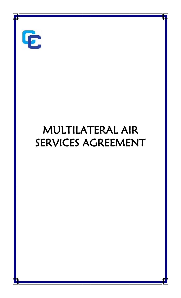

÷

# MULTILATERAL AIR SERVICES AGREEMENT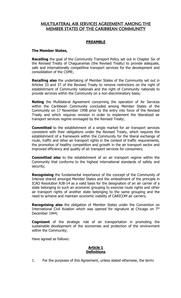# MULTILATERAL AIR SERVICES AGREEMENT AMONG THE MEMBER STATES OF THE CARIBBEAN COMMUNITY

## **PREAMBLE**

#### **The Member States,**

**Recalling** the goal of the Community Transport Policy set out in Chapter Six of the Revised Treaty of Chaguaramas (the Revised Treaty) to provide adequate, safe and internationally competitive transport services for the development and consolidation of the CSME;

**Recalling also** the undertaking of Member States of the Community set out in Articles 33 and 37 of the Revised Treaty to remove restrictions on the right of establishment of Community nationals and the right of Community nationals to provide services within the Community on a non-discriminatory basis;

**Noting** the Multilateral Agreement concerning the operation of Air Services within the Caribbean Community concluded among Member States of the Community on 17 November 1998 prior to the entry into force of the Revised Treaty and which requires revision in order to implement the liberalized air transport services regime envisaged by the Revised Treaty;

**Committed** to the establishment of a single market for air transport services consistent with their obligations under the Revised Treaty, which requires the establishment of a framework within the Community for the liberal exchange of route, traffic and other air transport rights in the context of traffic requirements, the promotion of healthy competition and growth in the air transport sector and improved efficiency and quality of air transport services for consumers;

**Committed also** to the establishment of an air transport regime within the Community that conforms to the highest international standards of safety and security;

**Recognising** the fundamental importance of the concept of the Community of Interest shared amongst Member States and the embodiment of the principle in ICAO Resolution A38-14 as a valid basis for the designation of an air carrier of a state belonging to such an economic grouping to exercise route rights and other air transport rights of another state belonging to the same grouping and the need to achieve and maintain economic viability of CARICOM air carriers;

**Recognising also** the obligation of Member States under the Convention on International Civil Aviation which was opened for signature at Chicago on 7<sup>th</sup> December 1944;

**Cognizant** of the strategic role of air transportation in promoting the sustainable development of the economies and protection of the environment within the Community;

Have agreed as follows:

#### **Article 1 Definitions**

1. For the purposes of this Agreement, unless stated otherwise, the term**:**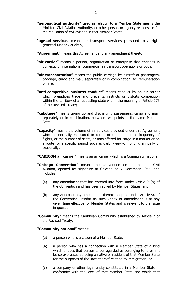- **"aeronautical authority"** used in relation to a Member State means the Minister, Civil Aviation Authority, or other person or agency responsible for the regulation of civil aviation in that Member State;
- "**agreed services**" means air transport services pursuant to a right granted under Article 5;
- **"Agreement"** means this Agreement and any amendment thereto;
- "**air carrier**" means a person, organization or enterprise that engages in domestic or international commercial air transport operations or both;
- **"air transportation"** means the public carriage by aircraft of passengers, baggage, cargo and mail, separately or in combination, for remuneration or hire;
- **"anti-competitive business conduct"** means conduct by an air carrier which prejudices trade and prevents, restricts or distorts competition within the territory of a requesting state within the meaning of Article 175 of the Revised Treaty;
- **"cabotage"** means taking up and discharging passengers, cargo and mail, separately or in combination, between two points in the same Member State;
- **"capacity"** means the volume of air services provided under this Agreement which is normally measured in terms of the number or frequency of flights, or the number of seats, or tons offered for cargo in a market or on a route for a specific period such as daily, weekly, monthly, annually or seasonally;
- **"CARICOM air carrier"** means an air carrier which is a Community national;
- **"Chicago Convention"** means the Convention on International Civil Aviation, opened for signature at Chicago on 7 December 1944, and includes:
	- (a) any amendment that has entered into force under Article 94(a) of the Convention and has been ratified by Member States; and
	- (b) any Annex or any amendment thereto adopted under Article 90 of the Convention, insofar as such Annex or amendment is at any given time effective for Member States and is relevant to the issue in question;
- **"Community"** means the Caribbean Community established by Article 2 of the Revised Treaty;

## **"Community national"** means:

- (a) a person who is a citizen of a Member State;
- (b) a person who has a connection with a Member State of a kind which entitles that person to be regarded as belonging to it, or if it be so expressed as being a native or resident of that Member State for the purposes of the laws thereof relating to immigration; or
- (c) a company or other legal entity constituted in a Member State in conformity with the laws of that Member State and which that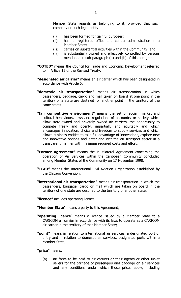Member State regards as belonging to it, provided that such company or such legal entity -

- (i) has been formed for gainful purposes;
- (ii) has its registered office and central administration in a Member State;
- (iii) carries on substantial activities within the Community; and
- (iv) is substantially owned and effectively controlled by persons mentioned in sub-paragraph (a) and (b) of this paragraph.
- **"COTED"** means the Council for Trade and Economic Development referred to in Article 15 of the Revised Treaty;
- **"designated air carrier"** means an air carrier which has been designated in accordance with Article 6;
- **"domestic air transportation"** means air transportation in which passengers, baggage, cargo and mail taken on board at one point in the territory of a state are destined for another point in the territory of the same state;
- **"fair competitive environment"** means the set of social, market and cultural behaviours, laws and regulations of a country or society which allow state-owned and privately owned air carriers, the opportunity to compete freely and openly, impartially and equitably and which encourages innovation, choice and freedom to supply services and which allows business entities to take full advantage of innovations, explore new and innovative options and enter and exit the air transport sector in a transparent manner with minimum required costs and effort;
- **"Former Agreement"** means the Multilateral Agreement concerning the operation of Air Services within the Caribbean Community concluded among Member States of the Community on 17 November 1998;
- **"ICAO"** means the International Civil Aviation Organization established by the Chicago Convention;
- **"international air transportation"** means air transportation in which the passengers, baggage, cargo or mail which are taken on board in the territory of one state are destined to the territory of another state;
- **"licence"** includes operating licence;
- **"Member State**" means a party to this Agreement;
- **"operating licence**" means a licence issued by a Member State to a CARICOM air carrier in accordance with its laws to operate as a CARICOM air carrier in the territory of that Member State;
- **"point"** means in relation to international air services, a designated port of entry and in relation to domestic air services, designated ports within a Member State;

**"price"** means:

(a) air fares to be paid to air carriers or their agents or other ticket sellers for the carriage of passengers and baggage on air services and any conditions under which those prices apply, including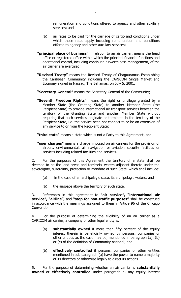remuneration and conditions offered to agency and other auxiliary services; and

- (b) air rates to be paid for the carriage of cargo and conditions under which those rates apply including remuneration and conditions offered to agency and other auxiliary services;
- **"principal place of business"** in relation to an air carrier, means the head office or registered office within which the principal financial functions and operational control, including continued airworthiness management, of the air carrier are exercised;
- **"Revised Treaty"** means the Revised Treaty of Chaguaramas Establishing the Caribbean Community including the CARICOM Single Market and Economy signed in Nassau, The Bahamas, on July 5, 2001;
- **"Secretary-General"** means the Secretary-General of the Community;
- **"Seventh Freedom Rights"** means the right or privilege granted by a Member State (the Granting State) to another Member State (the Recipient State) to provide international air transport services between the territory of the Granting State and another Member State without requiring that such services originate or terminate in the territory of the Recipient State, i.e. the service need not connect to or be an extension of any service to or from the Recipient State;

**"third state"** means a state which is not a Party to this Agreement; and

**"user charges"** means a charge imposed on air carriers for the provision of airport, environmental, air navigation or aviation security facilities or services including related facilities and services.

2. For the purposes of this Agreement the territory of a state shall be deemed to be the land areas and territorial waters adjacent thereto under the sovereignty, suzerainty, protection or mandate of such State, which shall include:

- (a) in the case of an archipelagic state, its archipelagic waters; and
- (b) the airspace above the territory of such state.

3. References in this agreement to **"air service", "international air service", "airline",** and **"stop for non-traffic purposes"** shall be construed in accordance with the meanings assigned to them in Article 96 of the Chicago Convention.

4. For the purpose of determining the eligibility of an air carrier as a CARICOM air carrier, a company or other legal entity is:

- (a) **substantially owned** if more than fifty percent of the equity interest therein is beneficially owned by persons, companies or other entities as the case may be, mentioned in paragraph (a), (b) or (c) of the definition of Community national; and
- (b) **effectively controlled** if persons, companies or other entities mentioned in sub paragraph (a) have the power to name a majority of its directors or otherwise legally to direct its actions.

5. For the purpose of determining whether an air carrier is **substantially owned** or **effectively controlled** under paragraph 4, any equity interest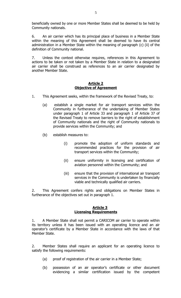beneficially owned by one or more Member States shall be deemed to be held by Community nationals.

6. An air carrier which has its principal place of business in a Member State within the meaning of this Agreement shall be deemed to have its central administration in a Member State within the meaning of paragraph (c) (ii) of the definition of Community national.

7. Unless the context otherwise requires, references in this Agreement to actions to be taken or not taken by a Member State in relation to a designated air carrier shall be construed as references to an air carrier designated by another Member State.

## **Article 2 Objective of Agreement**

- 1. This Agreement seeks, within the framework of the Revised Treaty, to:
	- (a) establish a single market for air transport services within the Community in furtherance of the undertaking of Member States under paragraph 1 of Article 33 and paragraph 1 of Article 37 of the Revised Treaty to remove barriers to the right of establishment of Community nationals and the right of Community nationals to provide services within the Community; and
	- (b) establish measures to:
		- (i) promote the adoption of uniform standards and recommended practices for the provision of air transport services within the Community;
		- (ii) ensure uniformity in licensing and certification of aviation personnel within the Community; and
		- (iii) ensure that the provision of international air transport services in the Community is undertaken by financially viable and technically qualified air carriers.

2. This Agreement confers rights and obligations on Member States in furtherance of the objectives set out in paragraph 1.

# **Article 3 Licensing Requirements**

1. A Member State shall not permit a CARICOM air carrier to operate within its territory unless it has been issued with an operating licence and an air operator's certificate by a Member State in accordance with the laws of that Member State.

2. Member States shall require an applicant for an operating licence to satisfy the following requirements:

- (a) proof of registration of the air carrier in a Member State;
- (b) possession of an air operator's certificate or other document evidencing a similar certification issued by the competent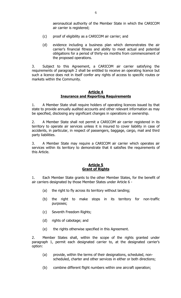aeronautical authority of the Member State in which the CARICOM air carrier is registered;

- (c) proof of eligibility as a CARICOM air carrier; and
- (d) evidence including a business plan which demonstrates the air carrier's financial fitness and ability to meet actual and potential obligations for a period of thirty-six months from commencement of the proposed operations.

3. Subject to this Agreement, a CARICOM air carrier satisfying the requirements of paragraph 2 shall be entitled to receive an operating licence but such a licence does not in itself confer any rights of access to specific routes or markets within the Community.

## **Article 4 Insurance and Reporting Requirements**

1. A Member State shall require holders of operating licences issued by that state to provide annually audited accounts and other relevant information as may be specified, disclosing any significant changes in operations or ownership.

2. A Member State shall not permit a CARICOM air carrier registered in its territory to operate air services unless it is insured to cover liability in case of accidents, in particular, in respect of passengers, baggage, cargo, mail and third party liabilities.

3. A Member State may require a CARICOM air carrier which operates air services within its territory to demonstrate that it satisfies the requirements of this Article.

# **Article 5 Grant of Rights**

1. Each Member State grants to the other Member States, for the benefit of air carriers designated by those Member States under Article 6 -

- (a) the right to fly across its territory without landing;
- (b) the right to make stops in its territory for non-traffic purposes;
- (c) Seventh Freedom Rights;
- (d) rights of cabotage; and
- (e) the rights otherwise specified in this Agreement.

2. Member States shall, within the scope of the rights granted under paragraph 1, permit each designated carrier to, at the designated carrier's option:

- (a) provide, within the terms of their designations, scheduled, nonscheduled, charter and other services in either or both directions;
- (b) combine different flight numbers within one aircraft operation;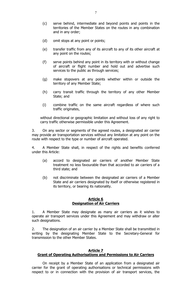- (c) serve behind, intermediate and beyond points and points in the territories of the Member States on the routes in any combination and in any order;
- (d) omit stops at any point or points;
- (e) transfer traffic from any of its aircraft to any of its other aircraft at any point on the routes;
- (f) serve points behind any point in its territory with or without change of aircraft or flight number and hold out and advertise such services to the public as through services;
- (g) make stopovers at any points whether within or outside the territory of any Member State;
- (h) carry transit traffic through the territory of any other Member State; and
- (i) combine traffic on the same aircraft regardless of where such traffic originates,

without directional or geographic limitation and without loss of any right to carry traffic otherwise permissible under this Agreement.

3. On any sector or segments of the agreed routes, a designated air carrier may provide air transportation services without any limitation at any point on the route with respect to the type or number of aircraft operated.

4. A Member State shall, in respect of the rights and benefits conferred under this Article:

- (a) accord to designated air carriers of another Member State treatment no less favourable than that accorded to air carriers of a third state; and
- (b) not discriminate between the designated air carriers of a Member State and air carriers designated by itself or otherwise registered in its territory, or bearing its nationality.

#### **Article 6 Designation of Air Carriers**

1. A Member State may designate as many air carriers as it wishes to operate air transport services under this Agreement and may withdraw or alter such designations.

2. The designation of an air carrier by a Member State shall be transmitted in writing by the designating Member State to the Secretary-General for transmission to the other Member States.

## **Article 7**

## **Grant of Operating Authorisations and Permissions to Air Carriers**

On receipt by a Member State of an application from a designated air carrier for the grant of operating authorisations or technical permissions with respect to or in connection with the provision of air transport services, the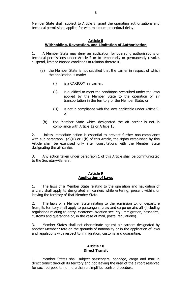Member State shall, subject to Article 8, grant the operating authorizations and technical permissions applied for with minimum procedural delay.

#### **Article 8 Withholding, Revocation, and Limitation of Authorisation**

1. A Member State may deny an application for operating authorisations or technical permissions under Article 7 or to temporarily or permanently revoke, suspend, limit or impose conditions in relation thereto if:

- (a) the Member State is not satisfied that the carrier in respect of which the application is made:
	- (i) is a CARICOM air carrier;
	- (ii) is qualified to meet the conditions prescribed under the laws applied by the Member State to the operation of air transportation in the territory of the Member State; or
	- (iii) is not in compliance with the laws applicable under Article 9; or
	- (b) the Member State which designated the air carrier is not in compliance with Article 12 or Article 13;

2. Unless immediate action is essential to prevent further non-compliance with sub-paragraph  $1(a)(iii)$  or  $1(b)$  of this Article, the rights established by this Article shall be exercised only after consultations with the Member State designating the air carrier.

3. Any action taken under paragraph 1 of this Article shall be communicated to the Secretary-General.

## **Article 9 Application of Laws**

1. The laws of a Member State relating to the operation and navigation of aircraft shall apply to designated air carriers while entering, present within, or leaving the territory of that Member State.

2. The laws of a Member State relating to the admission to, or departure from, its territory shall apply to passengers, crew and cargo on aircraft (including regulations relating to entry, clearance, aviation security, immigration, passports, customs and quarantine or, in the case of mail, postal regulations).

3. Member States shall not discriminate against air carriers designated by another Member State on the grounds of nationality or in the application of laws and regulations with respect to immigration, customs and quarantine.

#### **Article 10 Direct Transit**

1. Member States shall subject passengers, baggage, cargo and mail in direct transit through its territory and not leaving the area of the airport reserved for such purpose to no more than a simplified control procedure.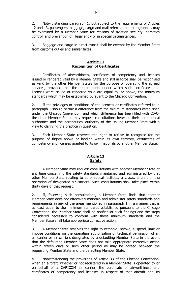2. Notwithstanding paragraph 1, but subject to the requirements of Articles 12 and 13, passengers, baggage, cargo and mail referred to in paragraph 1, may be examined by a Member State for reasons of aviation security, narcotics control, and prevention of illegal entry or in special circumstances**.**

3. Baggage and cargo in direct transit shall be exempt by the Member State from customs duties and similar taxes.

## **Article 11 Recognition of Certificates**

1. Certificates of airworthiness, certificates of competency and licenses issued or rendered valid by a Member State and still in force shall be recognised as valid by the other Member States for the purpose of operating the agreed services, provided that the requirements under which such certificates and licenses were issued or rendered valid are equal to, or above, the minimum standards which may be established pursuant to the Chicago Convention.

2. If the privileges or conditions of the licences or certificates referred to in paragraph 1 should permit a difference from the minimum standards established under the Chicago Convention, and which difference has been filed with ICAO, the other Member States may request consultations between their aeronautical authorities and the aeronautical authority of the issuing Member State with a view to clarifying the practice in question.

3. Each Member State reserves the right to refuse to recognise for the purpose of flights above or landing within its own territory, certificates of competency and licenses granted to its own nationals by another Member State.

## **Article 12 Safety**

1. A Member State may request consultations with another Member State at any time concerning the safety standards maintained and administered by that other Member State relating to aeronautical facilities, aircrews, aircraft or the operation of designated air carriers. Such consultations shall take place within thirty days of that request.

2. If, following such consultations, a Member State finds that another Member State does not effectively maintain and administer safety standards and requirements in any of the areas mentioned in paragraph 1 in a manner that is at least equal to the minimum standards established pursuant to the Chicago Convention, the Member State shall be notified of such findings and the steps considered necessary to conform with those minimum standards and the Member State shall take appropriate corrective action.

3. A Member State reserves the right to withhold, revoke, suspend, limit or impose conditions on the operating authorisation or technical permission of an air carrier or air carriers designated by a defaulting Member State in the event that the defaulting Member State does not take appropriate corrective action within fifteen days or such other period as may be agreed between the requesting Member State and the defaulting Member State.

4. Notwithstanding the provisions of Article 33 of the Chicago Convention, when an aircraft, whether or not registered in a Member State is operated by or on behalf of a CARICOM air carrier, the certificate of airworthiness and certificates of competency and licenses in respect of that aircraft and its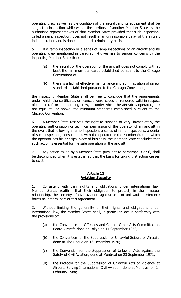operating crew as well as the condition of the aircraft and its equipment shall be subject to inspection while within the territory of another Member State by the authorised representatives of that Member State provided that such inspection, called a ramp inspection, does not result in an unreasonable delay of the aircraft in its operation and is done on a non-discriminatory basis.

5. If a ramp inspection or a series of ramp inspections of an aircraft and its operating crew mentioned in paragraph 4 gives rise to serious concerns by the inspecting Member State that:

- (a) the aircraft or the operation of the aircraft does not comply with at least the minimum standards established pursuant to the Chicago Convention; or
- (b) there is a lack of effective maintenance and administration of safety standards established pursuant to the Chicago Convention,

the inspecting Member State shall be free to conclude that the requirements under which the certificates or licences were issued or rendered valid in respect of the aircraft or its operating crew, or under which the aircraft is operated, are not equal to, or above, the minimum standards established pursuant to the Chicago Convention.

6. A Member State reserves the right to suspend or vary, immediately, the operating authorisation or technical permission of the operator of an aircraft in the event that following a ramp inspection, a series of ramp inspections, a denial of such inspection, consultations with the operator or the Member State in which the operator has his principal place of business, the Member State concludes that such action is essential for the safe operation of the aircraft.

7. Any action taken by a Member State pursuant to paragraph 3 or 6, shall be discontinued when it is established that the basis for taking that action ceases to exist.

# **Article 13 Aviation Security**

1. Consistent with their rights and obligations under international law, Member States reaffirm that their obligation to protect, in their mutual relationship, the security of civil aviation against acts of unlawful interference forms an integral part of this Agreement.

2. Without limiting the generality of their rights and obligations under international law, the Member States shall, in particular, act in conformity with the provisions of:

- (a) the Convention on Offences and Certain Other Acts Committed on Board Aircraft, done at Tokyo on 14 September 1963;
- (b) the Convention for the Suppression of Unlawful Seizure of Aircraft, done at The Hague on 16 December 1970;
- (c) the Convention for the Suppression of Unlawful Acts against the Safety of Civil Aviation, done at Montreal on 23 September 1971;
- (d) the Protocol for the Suppression of Unlawful Acts of Violence at Airports Serving International Civil Aviation, done at Montreal on 24 February 1988;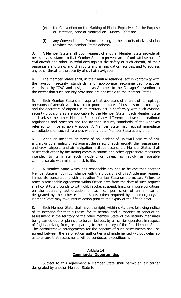- (e) the Convention on the Marking of Plastic Explosives for the Purpose of Detection, done at Montreal on 1 March 1999; and
- (f) any Convention and Protocol relating to the security of civil aviation to which the Member States adhere.

3. A Member State shall upon request of another Member State provide all necessary assistance to that Member State to prevent acts of unlawful seizure of civil aircraft and other unlawful acts against the safety of such aircraft, of their passengers and crew, and of airports and air navigation facilities, and to address any other threat to the security of civil air navigation.

4. The Member States shall, in their mutual relations, act in conformity with the aviation security standards and appropriate recommended practices established by ICAO and designated as Annexes to the Chicago Convention to the extent that such security provisions are applicable to the Member States.

5. Each Member State shall require that operators of aircraft of its registry, operators of aircraft who have their principal place of business in its territory, and the operators of airports in its territory act in conformity with such aviation security provisions as are applicable to the Member State. Each Member State shall advise the other Member States of any difference between its national regulations and practices and the aviation security standards of the Annexes referred to in paragraph 4 above. A Member State may request immediate consultations on such differences with any other Member State at any time.

6. When an incident, or threat of an incident of unlawful seizure of civil aircraft or other unlawful act against the safety of such aircraft, their passengers and crew, airports and air navigation facilities occurs, the Member States shall assist each other by facilitating communications and other appropriate measures intended to terminate such incident or threat as rapidly as possible commensurate with minimum risk to life.

7. A Member State which has reasonable grounds to believe that another Member State is not in compliance with the provisions of this Article may request immediate consultations with that other Member State on the matter. Failure to reach a reasonable agreement within fifteen days from the date of such request shall constitute grounds to withhold, revoke, suspend, limit, or impose conditions on the operating authorization or technical permission of an air carrier designated by the other Member State. When required by an emergency, a Member State may take interim action prior to the expiry of the fifteen days.

8. Each Member State shall have the right, within sixty days following notice of its intention for that purpose, for its aeronautical authorities to conduct an assessment in the territory of the other Member State of the security measures being carried out, or planned to be carried out, by air carrier operators in respect of flights arriving from, or departing to the territory of the first Member State. The administrative arrangements for the conduct of such assessments shall be agreed between the aeronautical authorities and implemented without delay so as to ensure that assessments will be conducted expeditiously.

# **Article 14 Commercial Opportunities**

1. Subject to this Agreement a Member State shall permit an air carrier designated by another Member State to: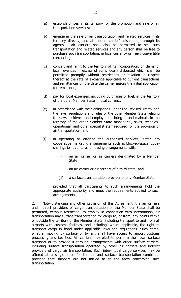- (a) establish offices in its territory for the promotion and sale of air transportation services;
- (b) engage in the sale of air transportation and related services in its territory directly, and at the air carrier's discretion, through its agents. Air carriers shall also be permitted to sell such transportation and related services and any person shall be free to purchase such transportation, in local currency or freely convertible currencies;
- (c) convert and remit to the territory of its incorporation, on demand, local revenues in excess of sums locally disbursed which shall be permitted promptly without restrictions or taxation in respect thereof at the rate of exchange applicable to current transactions and remittances on the date the carrier makes the initial application for remittance;
- (d) pay for local expenses, including purchases of fuel, in the territory of the other Member State in local currency;
- (e) in accordance with their obligations under the Revised Treaty and the laws, regulations and rules of the other Member State relating to entry, residence and employment, bring in and maintain in the territory of the other Member State managerial, sales, technical, operational, and other specialist staff required for the provision of air transportation; and
- (f) in operating or offering the authorised services, enter into cooperative marketing arrangements such as blocked-space, codesharing, joint ventures or leasing arrangements with:
	- (i) an air carrier or air carriers designated by a Member State;
	- (ii) an air carrier or air carriers of a third state; and
	- (iii) a surface transportation provider of any Member State,

provided that all participants to such arrangements hold the appropriate authority and meet the requirements applied to such arrangements.

2. Notwithstanding any other provision of this Agreement, the air carriers and indirect providers of cargo transportation of the Member State shall be permitted, without restriction, to employ in connection with international air transportation any surface transportation for cargo to, or from, any points within or outside the territory of the Member State, including transport to and from all airports with customs facilities, and including, where applicable, the right to transport cargo in bond under applicable laws and regulations. Such cargo, whether moving by surface or by air, shall have access to airport customs processing and facilities. Air carriers may elect to perform their own surface transport or to provide it through arrangements with other surface carriers, including surface transportation operated by other air carriers and indirect providers of cargo air transportation. Such inter-modal cargo services may be offered at a single price for the air and surface transportation combined, provided that shippers are not misled as to the facts concerning such transportation.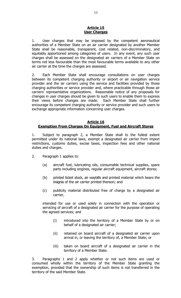## **Article 15 User Charges**

1. User charges that may be imposed by the competent aeronautical authorities of a Member State on an air carrier designated by another Member State shall be reasonable, transparent, cost related, non-discriminatory, and equitably apportioned among categories of users. In any event, any such user charges shall be assessed on the designated air carriers of a Member State on terms not less favourable than the most favourable terms available to any other air carrier at the time the charges are assessed.

2. Each Member State shall encourage consultations on user charges between its competent charging authority or airport or air navigation service provider and the air carriers using the service and facilities provided by those charging authorities or service provider and, where practicable through those air carriers' representative organizations. Reasonable notice of any proposals for changes in user charges should be given to such users to enable them to express their views before changes are made. Each Member State shall further encourage its competent charging authority or service provider and such users to exchange appropriate information concerning user charges.

## **Article 16 Exemption From Charges On Equipment, Fuel and Aircraft Stores**

1. Subject to paragraph 2, a Member State shall to the fullest extent permitted under its national laws, exempt a designated air carrier from import restrictions, customs duties, excise taxes, inspection fees and other national duties and charges.

- 2. Paragraph 1 applies to:
	- (a) aircraft fuel, lubricating oils, consumable technical supplies, spare parts including engines, regular aircraft equipment, aircraft stores;
	- (b) printed ticket stock, air waybills and printed material which bears the insignia of the air carrier printed thereon; and
	- (c) publicity material distributed free of charge by a designated air carrier,

intended for use or used solely in connection with the operation or servicing of aircraft of a designated air carrier for the purpose of operating the agreed services; and

- (i) introduced into the territory of a Member State by or on behalf of a designated air carrier;
- (ii) retained on board aircraft of a designated air carrier upon arrival in, or leaving the territory of, a Member State; or
- (iii) taken on board aircraft of a designated air carrier in the territory of a Member State.

3. Paragraphs 1 and 2 apply whether or not such items are used or consumed wholly within the territory of the Member State granting the exemption, provided that the ownership of such items is not transferred in the territory of the said Member State.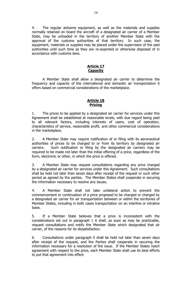4. The regular airborne equipment, as well as the materials and supplies normally retained on board the aircraft of a designated air carrier of a Member State, may be unloaded in the territory of another Member State with the approval of the customs authorities of that territory. In such case, the equipment, materials or supplies may be placed under the supervision of the said authorities until such time as they are re-exported or otherwise disposed of in accordance with customs laws.

## **Article 17 Capacity**

A Member State shall allow a designated air carrier to determine the frequency and capacity of the international and domestic air transportation it offers based on commercial considerations of the marketplace.

# **Article 18 Pricing**

1. The prices to be applied by a designated air carrier for services under this Agreement shall be established at reasonable levels, with due regard being paid to all relevant factors, including interests of users, cost of operation, characteristics of service, reasonable profit, and other commercial considerations in the marketplace.

2. A Member State may require notification of or filing with its aeronautical authorities of prices to be charged to or from its territory by designated air carriers. Such notification or filing by the designated air carriers may be required to be made not later than the initial offering of a price, regardless of the form, electronic or other, in which the price is offered.

3. A Member State may request consultations regarding any price charged by a designated air carrier for services under this Agreement. Such consultations shall be held not later than seven days after receipt of the request or such other period as agreed by the parties. The Member States shall cooperate in securing the information necessary to resolve any issues.

4. A Member State shall not take unilateral action to prevent the commencement or continuation of a price proposed to be charged or charged by a designated air carrier for air transportation between or within the territories of Member States, including in both cases transportation on an interline or intraline basis.

5. If a Member State believes that a price is inconsistent with the considerations set out in paragraph 1 it shall, as soon as may be practicable, request consultations and notify the Member State which designated that air carrier, of the reasons for its dissatisfaction.

6. Consultations under paragraph 5 shall be held not later than seven days after receipt of the request, and the Parties shall cooperate in securing the information necessary for a resolution of the issue. If the Member States reach agreement with respect to the price, each Member State shall use its best efforts to put that agreement into effect.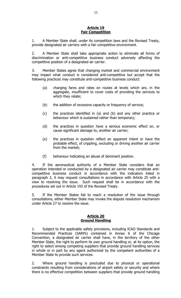## **Article 19 Fair Competition**

1. A Member State shall, under its competition laws and the Revised Treaty, provide designated air carriers with a fair competitive environment.

2. A Member State shall take appropriate action to eliminate all forms of discrimination or anti-competitive business conduct adversely affecting the competitive position of a designated air carrier.

3. Member States agree that changing market and commercial environment may impact what conduct is considered anti-competitive but accept that the following practices may constitute anti-competitive business conduct:

- (a) charging fares and rates on routes at levels which are, in the aggregate, insufficient to cover costs of providing the services to which they relate;
- (b) the addition of excessive capacity or frequency of service;
- (c) the practices identified in (a) and (b) and any other practice or behaviour which is sustained rather than temporary;
- (d) the practices in question have a serious economic effect on, or cause significant damage to, another air carrier;
- (e) the practices in question reflect an apparent intent or have the probable effect, of crippling, excluding or driving another air carrier from the market;
- (f) behaviour indicating an abuse of dominant position.

4. If the aeronautical authority of a Member State considers that an operation intended or conducted by a designated air carrier may constitute anticompetitive business conduct in accordance with the indicators listed in paragraph 3, it may request consultations in accordance with Article 25 with a view to resolving the issue. Such request shall be in accordance with the procedures set out in Article 193 of the Revised Treaty.

5. If the Member States fail to reach a resolution of the issue through consultations, either Member State may invoke the dispute resolution mechanism under Article 27 to resolve the issue.

#### **Article 20 Ground Handling**

1. Subject to the applicable safety provisions, including ICAO Standards and Recommended Practices (SARPs) contained in Annex 6 of the Chicago Convention, a designated air carrier shall have, in the territory of the other Member State, the right to perform its own ground handling or, at its option, the right to select among competing suppliers that provide ground handling services in whole or in part by any agent authorized by the competent authorities of a Member State to provide such services.

2. Where ground handling is precluded due to physical or operational constraints resulting from considerations of airport safety or security and where there is no effective competition between suppliers that provide ground handling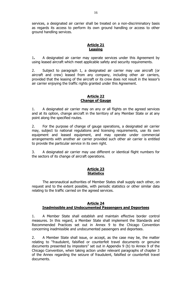services, a designated air carrier shall be treated on a non-discriminatory basis as regards its access to perform its own ground handling or access to other ground handling services.

## **Article 21 Leasing**

1**.** A designated air carrier may operate services under this Agreement by using leased aircraft which meet applicable safety and security requirements.

2. Subject to paragraph 1, a designated air carrier may use aircraft (or aircraft and crew) leased from any company, including other air carriers, provided that the leasing of the aircraft or its crew does not result in the lessor's air carrier enjoying the traffic rights granted under this Agreement.

# **Article 22 Change of Gauge**

1. A designated air carrier may on any or all flights on the agreed services and at its option, change aircraft in the territory of any Member State or at any point along the specified routes.

2. For the purpose of change of gauge operations, a designated air carrier may, subject to national regulations and licensing requirements, use its own equipment and leased equipment, and may operate under commercial arrangements with another air carrier provided such other air carrier is entitled to provide the particular service in its own right.

3. A designated air carrier may use different or identical flight numbers for the sectors of its change of aircraft operations.

## **Article 23 Statistics**

The aeronautical authorities of Member States shall supply each other, on request and to the extent possible, with periodic statistics or other similar data relating to the traffic carried on the agreed services.

## **Article 24 Inadmissible and Undocumented Passengers and Deportees**

1. A Member State shall establish and maintain effective border control measures. In this regard, a Member State shall implement the Standards and Recommended Practices set out in Annex 9 to the Chicago Convention concerning inadmissible and undocumented passengers and deportees.

2. A Member State shall issue, or accept, as the case may be, the matter relating to "fraudulent, falsified or counterfeit travel documents or genuine documents presented by imposters" set out in Appendix 9 (b) to Annex 9 of the Chicago Convention, when taking action under relevant paragraphs of chapter 3 of the Annex regarding the seizure of fraudulent, falsified or counterfeit travel documents.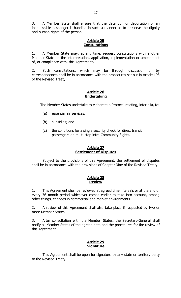3. A Member State shall ensure that the detention or deportation of an inadmissible passenger is handled in such a manner as to preserve the dignity and human rights of the person.

## **Article 25 Consultations**

1. A Member State may, at any time, request consultations with another Member State on the interpretation, application, implementation or amendment of, or compliance with, this Agreement**.**

2**.** Such consultations, which may be through discussion or by correspondence, shall be in accordance with the procedures set out in Article 193 of the Revised Treaty.

## **Article 26 Undertaking**

The Member States undertake to elaborate a Protocol relating, inter alia, to:

- (a) essential air services;
- (b) subsidies; and
- (c) the conditions for a single security check for direct transit passengers on multi-stop intra-Community flights.

# **Article 27 Settlement of Disputes**

Subject to the provisions of this Agreement, the settlement of disputes shall be in accordance with the provisions of Chapter Nine of the Revised Treaty.

# **Article 28 Review**

1. This Agreement shall be reviewed at agreed time intervals or at the end of every 36 month period whichever comes earlier to take into account, among other things, changes in commercial and market environments.

2. A review of this Agreement shall also take place if requested by two or more Member States.

3. After consultation with the Member States, the Secretary-General shall notify all Member States of the agreed date and the procedures for the review of this Agreement.

# **Article 29 Signature**

This Agreement shall be open for signature by any state or territory party to the Revised Treaty.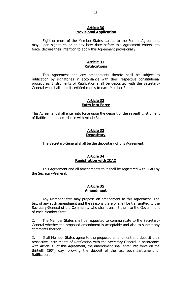#### **Article 30 Provisional Application**

Eight or more of the Member States parties to the Former Agreement, may, upon signature, or at any later date before this Agreement enters into force, declare their intention to apply this Agreement provisionally.

#### **Article 31 Ratifications**

This Agreement and any amendments thereto shall be subject to ratification by signatories in accordance with their respective constitutional procedures. Instruments of Ratification shall be deposited with the Secretary-General who shall submit certified copies to each Member State.

#### **Article 32 Entry into Force**

This Agreement shall enter into force upon the deposit of the seventh Instrument of Ratification in accordance with Article 31.

## **Article 33 Depositary**

The Secretary-General shall be the depositary of this Agreement.

## **Article 34 Registration with ICAO**

This Agreement and all amendments to it shall be registered with ICAO by the Secretary-General.

#### **Article 35 Amendment**

1. Any Member State may propose an amendment to this Agreement. The text of any such amendment and the reasons therefor shall be transmitted to the Secretary-General of the Community who shall transmit them to the Government of each Member State.

2. The Member States shall be requested to communicate to the Secretary-General whether the proposed amendment is acceptable and also to submit any comments thereon.

3. If all Member States agree to the proposed amendment and deposit their respective Instruments of Ratification with the Secretary-General in accordance with Article 31 of this Agreement, the amendment shall enter into force on the thirtieth  $(30<sup>th</sup>)$  day following the deposit of the last such Instrument of Ratification.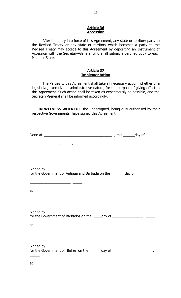#### **Article 36 Accession**

After the entry into force of this Agreement, any state or territory party to the Revised Treaty or any state or territory which becomes a party to the Revised Treaty may accede to this Agreement by depositing an Instrument of Accession with the Secretary-General who shall submit a certified copy to each Member State.

## **Article 37 Implementation**

The Parties to this Agreement shall take all necessary action, whether of a legislative, executive or administrative nature, for the purpose of giving effect to this Agreement. Such action shall be taken as expeditiously as possible, and the Secretary-General shall be informed accordingly.

**IN WITNESS WHEREOF**, the undersigned, being duly authorised by their respective Governments, have signed this Agreement.

| Done at |      |        |
|---------|------|--------|
|         | this | day of |
|         |      |        |

 $\overline{\phantom{a}}$  ,  $\overline{\phantom{a}}$  ,  $\overline{\phantom{a}}$ 

\_\_\_\_\_\_\_\_\_\_\_\_\_\_\_\_\_\_\_\_\_, \_\_\_\_\_

Signed by for the Government of Antigua and Barbuda on the \_\_\_\_\_\_ day of

at

Signed by for the Government of Barbados on the \_\_\_\_day of \_\_\_\_\_\_\_\_\_\_\_\_\_\_\_\_\_\_, \_\_\_\_\_

at

Signed by for the Government of Belize on the \_\_\_\_\_ day of \_\_\_\_\_\_\_\_\_\_\_\_\_\_\_\_\_\_\_\_,  $\overline{\phantom{a}}$ 

at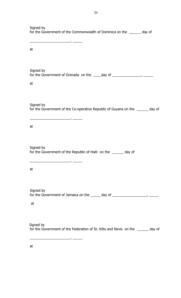Signed by for the Government of the Commonwealth of Dominica on the \_\_\_\_\_\_ day of  $\overline{\phantom{a}}$  ,  $\overline{\phantom{a}}$  ,  $\overline{\phantom{a}}$  ,  $\overline{\phantom{a}}$  ,  $\overline{\phantom{a}}$  ,  $\overline{\phantom{a}}$  ,  $\overline{\phantom{a}}$  ,  $\overline{\phantom{a}}$  ,  $\overline{\phantom{a}}$  ,  $\overline{\phantom{a}}$  ,  $\overline{\phantom{a}}$  ,  $\overline{\phantom{a}}$  ,  $\overline{\phantom{a}}$  ,  $\overline{\phantom{a}}$  ,  $\overline{\phantom{a}}$  ,  $\overline{\phantom{a}}$ at Signed by for the Government of Grenada on the \_\_\_\_day of \_\_\_\_\_\_\_\_\_\_\_\_\_\_\_\_\_, \_\_\_\_\_\_ at Signed by for the Government of the Co-operative Republic of Guyana on the \_\_\_\_\_\_ day of  $\overline{\phantom{a}}$  ,  $\overline{\phantom{a}}$  ,  $\overline{\phantom{a}}$  ,  $\overline{\phantom{a}}$  ,  $\overline{\phantom{a}}$  ,  $\overline{\phantom{a}}$  ,  $\overline{\phantom{a}}$  ,  $\overline{\phantom{a}}$  ,  $\overline{\phantom{a}}$  ,  $\overline{\phantom{a}}$  ,  $\overline{\phantom{a}}$  ,  $\overline{\phantom{a}}$  ,  $\overline{\phantom{a}}$  ,  $\overline{\phantom{a}}$  ,  $\overline{\phantom{a}}$  ,  $\overline{\phantom{a}}$ at Signed by for the Government of the Republic of Haiti on the \_\_\_\_\_\_ day of  $\overline{\phantom{a}}$  ,  $\overline{\phantom{a}}$  ,  $\overline{\phantom{a}}$  ,  $\overline{\phantom{a}}$  ,  $\overline{\phantom{a}}$  ,  $\overline{\phantom{a}}$  ,  $\overline{\phantom{a}}$  ,  $\overline{\phantom{a}}$  ,  $\overline{\phantom{a}}$  ,  $\overline{\phantom{a}}$  ,  $\overline{\phantom{a}}$  ,  $\overline{\phantom{a}}$  ,  $\overline{\phantom{a}}$  ,  $\overline{\phantom{a}}$  ,  $\overline{\phantom{a}}$  ,  $\overline{\phantom{a}}$ at Signed by for the Government of Jamaica on the \_\_\_\_\_ day of \_\_\_\_\_\_\_\_\_\_\_\_\_\_\_\_\_\_, \_\_\_\_\_ at

Signed by for the Government of the Federation of St. Kitts and Nevis on the \_\_\_\_\_\_ day of

at

\_\_\_\_\_\_\_\_\_\_\_\_\_\_\_\_\_\_\_\_\_, \_\_\_\_\_